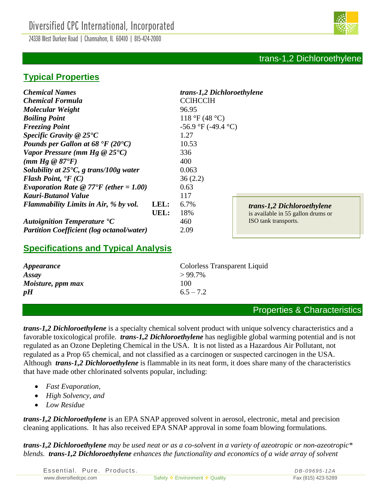24338 West Durkee Road | Channahon, IL 60410 | 815-424-2000

# **Typical Properties**

| <b>Chemical Formula</b><br><b>CCIHCCIH</b><br>Molecular Weight<br>96.95<br>118 °F (48 °C)<br><b>Boiling Point</b><br>$-56.9$ °F (-49.4 °C)<br><b>Freezing Point</b><br>Specific Gravity $@25^{\bullet}C$<br>1.27<br>Pounds per Gallon at 68 $\mathbf{F}$ (20 $\mathbf{C}$ )<br>10.53<br>Vapor Pressure (mm Hg $@25°C$ )<br>336<br>$(mm Hg \otimes 87^{\circ}F)$<br>400<br>0.063<br>Solubility at $25^{\circ}$ C, g trans/100g water<br>Flash Point, $\mathbf{F}(C)$<br>36(2.2)<br><i>Evaporation Rate</i> @ $77^{\circ}F$ (ether = 1.00)<br>0.63<br>Kauri-Butanol Value<br>117<br>LEL:<br><b>Flammability Limits in Air, % by vol.</b><br>6.7%<br>trans-1,2 Dichloroethylene<br>UEL:<br>18%<br>is available in 55 gallon drums or<br>ISO tank transports.<br>460<br>Autoignition Temperature °C<br><b>Partition Coefficient (log octanol/water)</b><br>2.09 | <b>Chemical Names</b> | trans-1,2 Dichloroethylene |  |
|-------------------------------------------------------------------------------------------------------------------------------------------------------------------------------------------------------------------------------------------------------------------------------------------------------------------------------------------------------------------------------------------------------------------------------------------------------------------------------------------------------------------------------------------------------------------------------------------------------------------------------------------------------------------------------------------------------------------------------------------------------------------------------------------------------------------------------------------------------------|-----------------------|----------------------------|--|
|                                                                                                                                                                                                                                                                                                                                                                                                                                                                                                                                                                                                                                                                                                                                                                                                                                                             |                       |                            |  |
|                                                                                                                                                                                                                                                                                                                                                                                                                                                                                                                                                                                                                                                                                                                                                                                                                                                             |                       |                            |  |
|                                                                                                                                                                                                                                                                                                                                                                                                                                                                                                                                                                                                                                                                                                                                                                                                                                                             |                       |                            |  |
|                                                                                                                                                                                                                                                                                                                                                                                                                                                                                                                                                                                                                                                                                                                                                                                                                                                             |                       |                            |  |
|                                                                                                                                                                                                                                                                                                                                                                                                                                                                                                                                                                                                                                                                                                                                                                                                                                                             |                       |                            |  |
|                                                                                                                                                                                                                                                                                                                                                                                                                                                                                                                                                                                                                                                                                                                                                                                                                                                             |                       |                            |  |
|                                                                                                                                                                                                                                                                                                                                                                                                                                                                                                                                                                                                                                                                                                                                                                                                                                                             |                       |                            |  |
|                                                                                                                                                                                                                                                                                                                                                                                                                                                                                                                                                                                                                                                                                                                                                                                                                                                             |                       |                            |  |
|                                                                                                                                                                                                                                                                                                                                                                                                                                                                                                                                                                                                                                                                                                                                                                                                                                                             |                       |                            |  |
|                                                                                                                                                                                                                                                                                                                                                                                                                                                                                                                                                                                                                                                                                                                                                                                                                                                             |                       |                            |  |
|                                                                                                                                                                                                                                                                                                                                                                                                                                                                                                                                                                                                                                                                                                                                                                                                                                                             |                       |                            |  |
|                                                                                                                                                                                                                                                                                                                                                                                                                                                                                                                                                                                                                                                                                                                                                                                                                                                             |                       |                            |  |
|                                                                                                                                                                                                                                                                                                                                                                                                                                                                                                                                                                                                                                                                                                                                                                                                                                                             |                       |                            |  |
|                                                                                                                                                                                                                                                                                                                                                                                                                                                                                                                                                                                                                                                                                                                                                                                                                                                             |                       |                            |  |
|                                                                                                                                                                                                                                                                                                                                                                                                                                                                                                                                                                                                                                                                                                                                                                                                                                                             |                       |                            |  |
|                                                                                                                                                                                                                                                                                                                                                                                                                                                                                                                                                                                                                                                                                                                                                                                                                                                             |                       |                            |  |

# **Specifications and Typical Analysis**

| <i><b>Appearance</b></i> | Colorless Transparent Liquid |
|--------------------------|------------------------------|
| Assay                    | $>99.7\%$                    |
| Moisture, ppm max        | 100                          |
| pH                       | $6.5 - 7.2$                  |

## Properties & Characteristics

*trans-1,2 Dichloroethylene* is a specialty chemical solvent product with unique solvency characteristics and a favorable toxicological profile. *trans-1,2 Dichloroethylene* has negligible global warming potential and is not regulated as an Ozone Depleting Chemical in the USA. It is not listed as a Hazardous Air Pollutant, not regulated as a Prop 65 chemical, and not classified as a carcinogen or suspected carcinogen in the USA. Although *trans-1,2 Dichloroethylene* is flammable in its neat form, it does share many of the characteristics that have made other chlorinated solvents popular, including:

- *Fast Evaporation,*
- *High Solvency, and*
- *Low Residue*

*trans-1,2 Dichloroethylene* is an EPA SNAP approved solvent in aerosol, electronic, metal and precision cleaning applications. It has also received EPA SNAP approval in some foam blowing formulations.

*trans-1,2 Dichloroethylene may be used neat or as a co-solvent in a variety of azeotropic or non-azeotropic\* blends. trans-1,2 Dichloroethylene enhances the functionality and economics of a wide array of solvent* 

Essential. Pure. Products. **DB-09695-12A** www.diversifiedcpc.com Safety  $\div$  Environment  $\div$  Quality Fax (815) 423-5289

# trans-1,2 Dichloroethylene